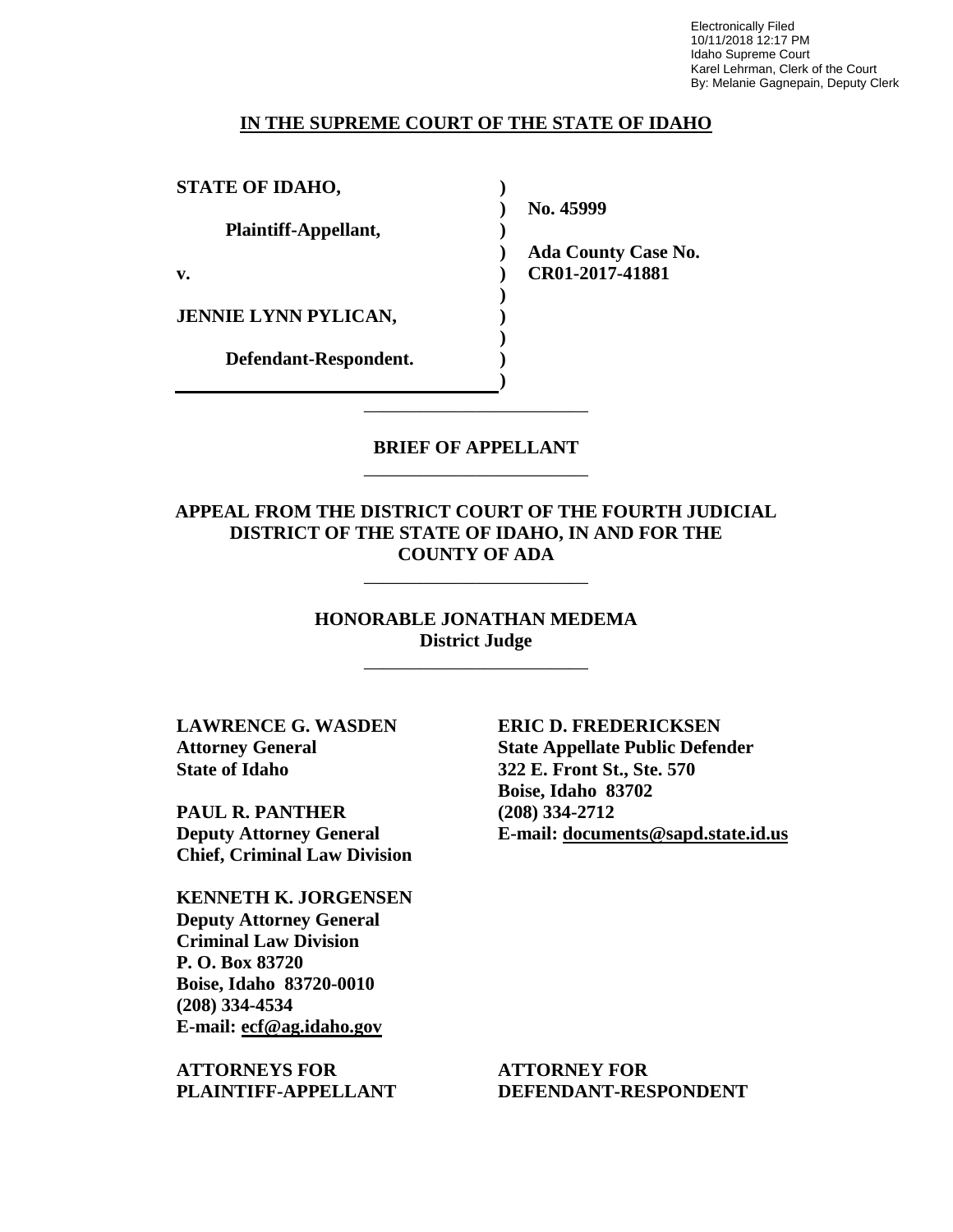Electronically Filed 10/11/2018 12:17 PM Idaho Supreme Court Karel Lehrman, Clerk of the Court By: Melanie Gagnepain, Deputy Clerk

#### **IN THE SUPREME COURT OF THE STATE OF IDAHO**

**) ) )** 

> **) ) ) ) ) )**

**STATE OF IDAHO,**

**Plaintiff-Appellant,**

**v.**

**JENNIE LYNN PYLICAN,**

**Defendant-Respondent.**

**No. 45999** 

**) Ada County Case No. CR01-2017-41881** 

**BRIEF OF APPELLANT** \_\_\_\_\_\_\_\_\_\_\_\_\_\_\_\_\_\_\_\_\_\_\_\_

\_\_\_\_\_\_\_\_\_\_\_\_\_\_\_\_\_\_\_\_\_\_\_\_

**APPEAL FROM THE DISTRICT COURT OF THE FOURTH JUDICIAL DISTRICT OF THE STATE OF IDAHO, IN AND FOR THE COUNTY OF ADA** 

\_\_\_\_\_\_\_\_\_\_\_\_\_\_\_\_\_\_\_\_\_\_\_\_

**HONORABLE JONATHAN MEDEMA District Judge**

\_\_\_\_\_\_\_\_\_\_\_\_\_\_\_\_\_\_\_\_\_\_\_\_

**LAWRENCE G. WASDEN Attorney General State of Idaho**

**PAUL R. PANTHER Deputy Attorney General Chief, Criminal Law Division**

**KENNETH K. JORGENSEN Deputy Attorney General Criminal Law Division P. O. Box 83720 Boise, Idaho 83720-0010 (208) 334-4534 E-mail: ecf@ag.idaho.gov** 

**ATTORNEYS FOR PLAINTIFF-APPELLANT** **ERIC D. FREDERICKSEN State Appellate Public Defender 322 E. Front St., Ste. 570 Boise, Idaho 83702 (208) 334-2712 E-mail: documents@sapd.state.id.us** 

**ATTORNEY FOR DEFENDANT-RESPONDENT**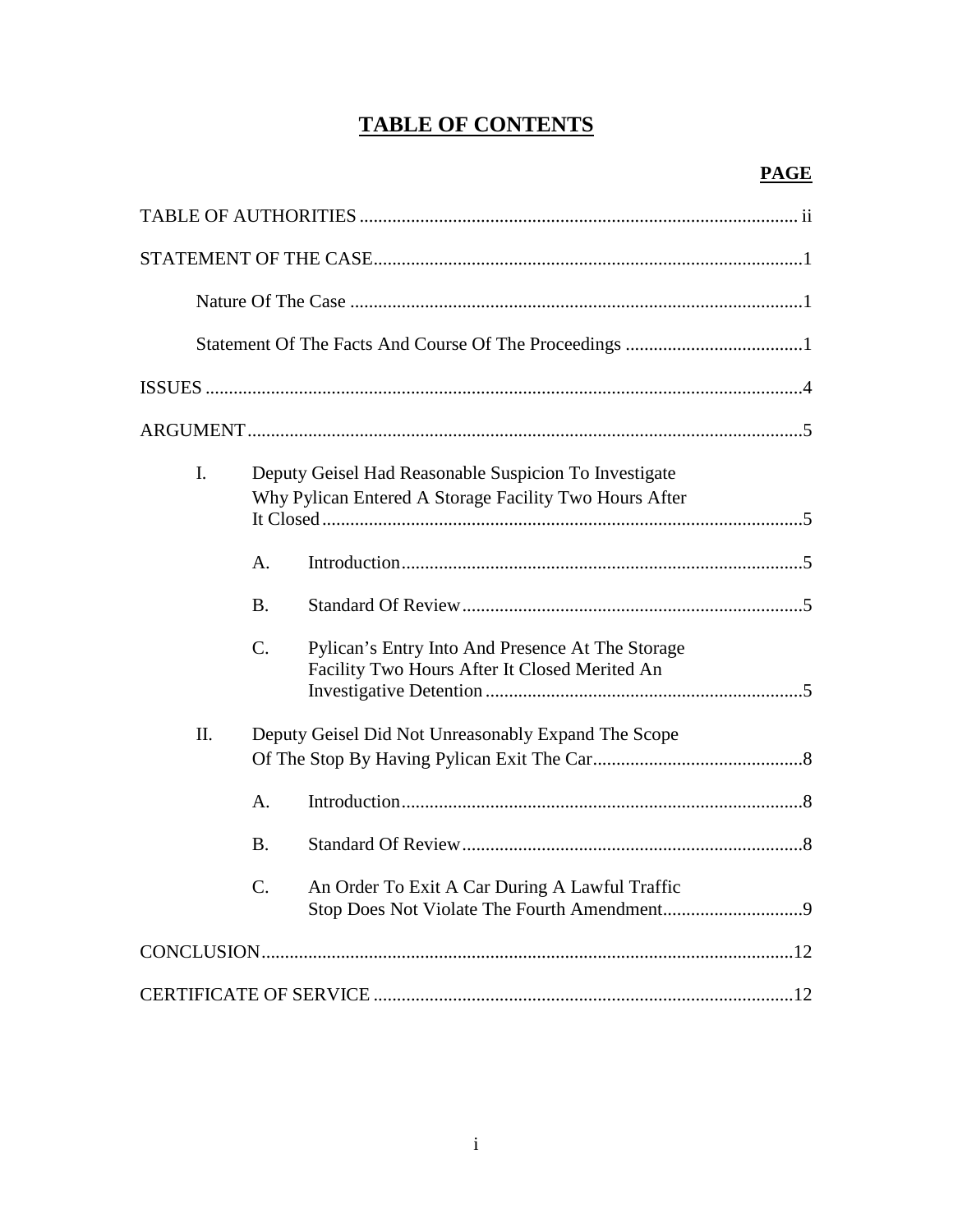# **TABLE OF CONTENTS**

| $\mathbf{I}$ . |                                                     | Deputy Geisel Had Reasonable Suspicion To Investigate<br>Why Pylican Entered A Storage Facility Two Hours After |
|----------------|-----------------------------------------------------|-----------------------------------------------------------------------------------------------------------------|
|                | А.                                                  |                                                                                                                 |
|                | Β.                                                  |                                                                                                                 |
|                | $\mathcal{C}$ .                                     | Pylican's Entry Into And Presence At The Storage<br>Facility Two Hours After It Closed Merited An               |
| II.            | Deputy Geisel Did Not Unreasonably Expand The Scope |                                                                                                                 |
|                | A.                                                  |                                                                                                                 |
|                | <b>B.</b>                                           |                                                                                                                 |
|                | C.                                                  | An Order To Exit A Car During A Lawful Traffic                                                                  |
|                |                                                     |                                                                                                                 |
|                |                                                     |                                                                                                                 |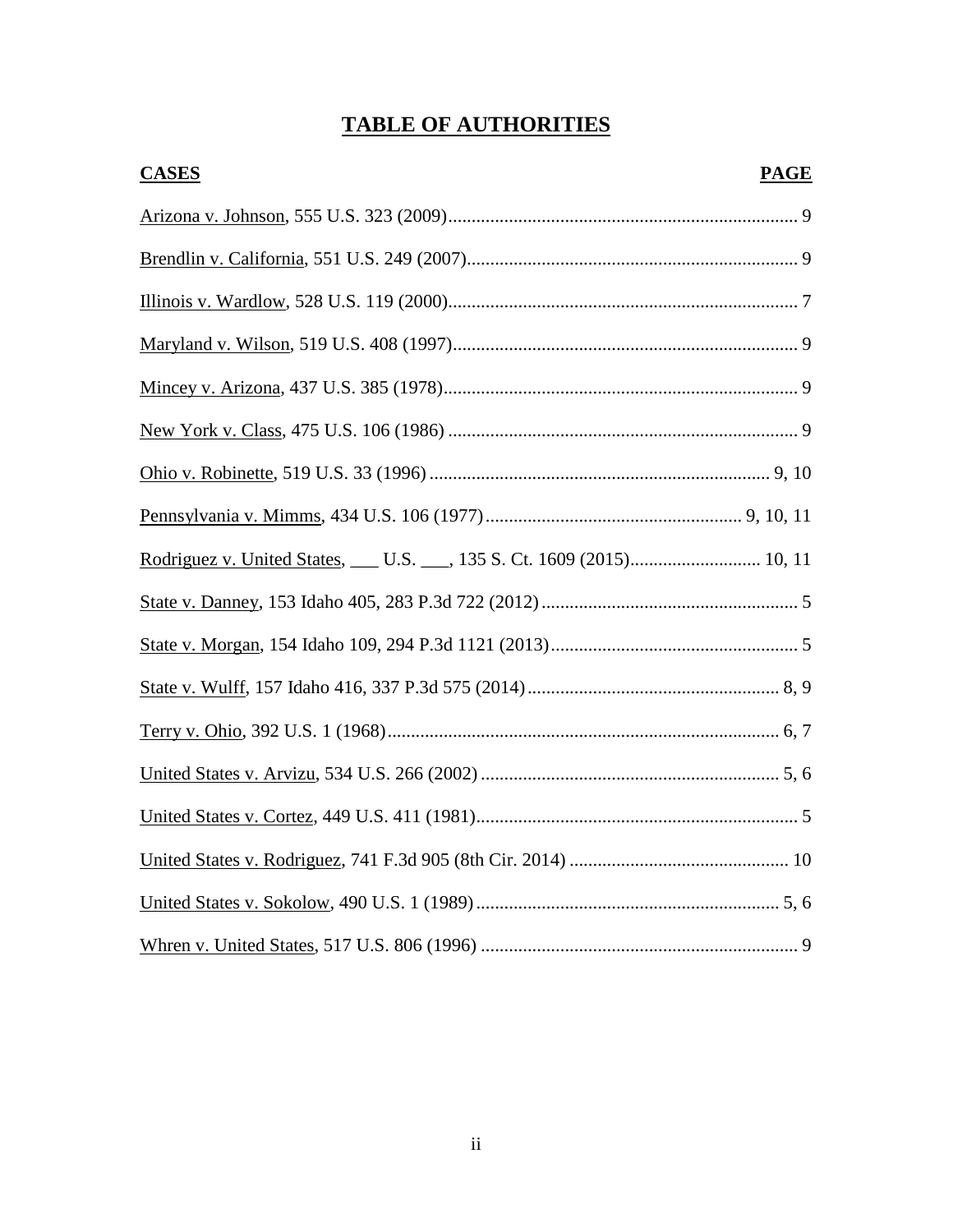# **TABLE OF AUTHORITIES**

| <b>CASES</b> | <b>PAGE</b> |
|--------------|-------------|
|              |             |
|              |             |
|              |             |
|              |             |
|              |             |
|              |             |
|              |             |
|              |             |
|              |             |
|              |             |
|              |             |
|              |             |
|              |             |
|              |             |
|              |             |
|              |             |
|              |             |
|              |             |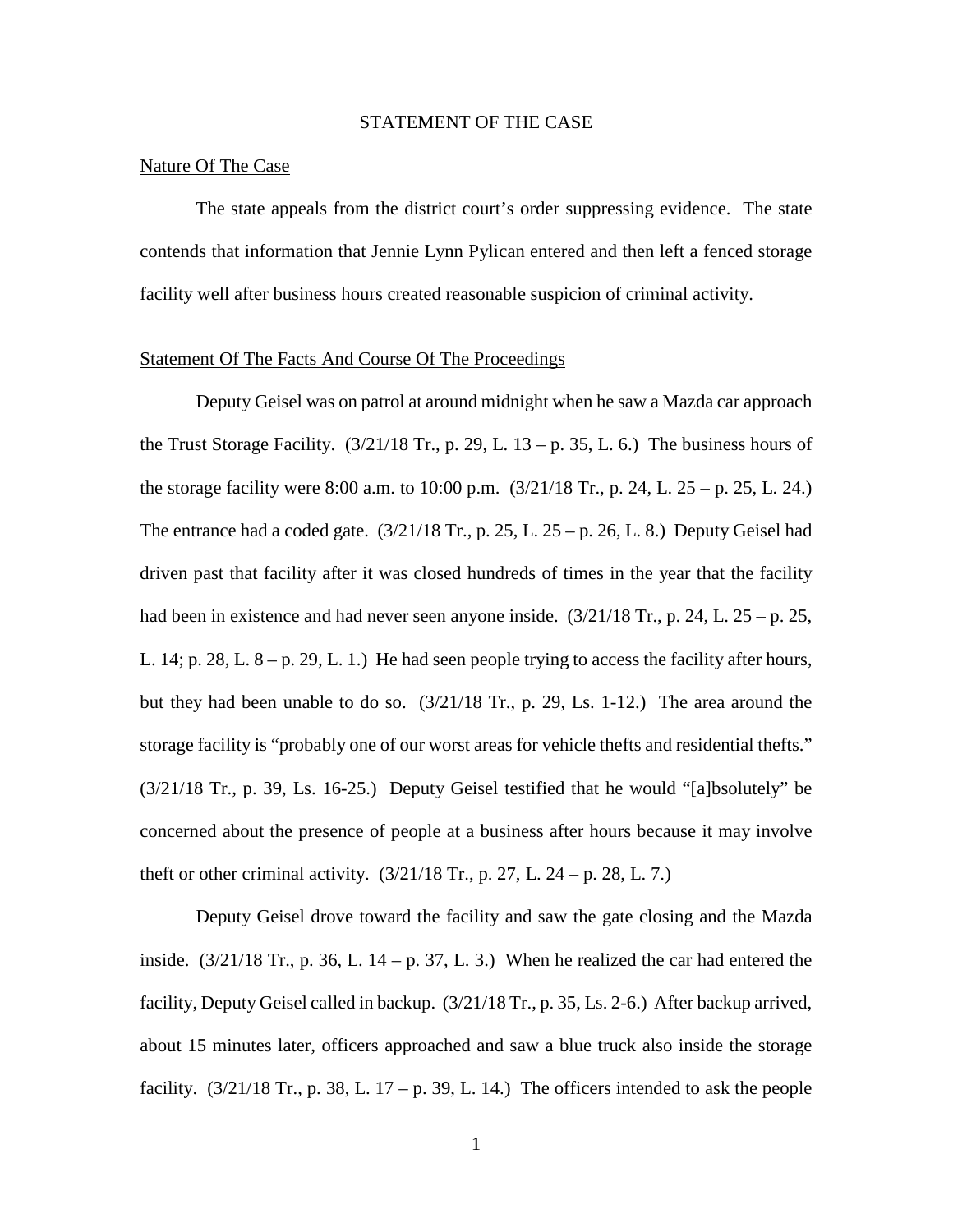#### STATEMENT OF THE CASE

### Nature Of The Case

The state appeals from the district court's order suppressing evidence. The state contends that information that Jennie Lynn Pylican entered and then left a fenced storage facility well after business hours created reasonable suspicion of criminal activity.

## Statement Of The Facts And Course Of The Proceedings

 Deputy Geisel was on patrol at around midnight when he saw a Mazda car approach the Trust Storage Facility.  $(3/21/18$  Tr., p. 29, L.  $13 - p$ . 35, L. 6.) The business hours of the storage facility were 8:00 a.m. to 10:00 p.m. (3/21/18 Tr., p. 24, L. 25 – p. 25, L. 24.) The entrance had a coded gate.  $(3/21/18 \text{ Tr}., p. 25, L. 25 - p. 26, L. 8.)$  Deputy Geisel had driven past that facility after it was closed hundreds of times in the year that the facility had been in existence and had never seen anyone inside.  $(3/21/18 \text{ Tr}$ , p. 24, L.  $25 -$  p. 25, L. 14; p. 28, L.  $8 - p$ . 29, L. 1.) He had seen people trying to access the facility after hours, but they had been unable to do so. (3/21/18 Tr., p. 29, Ls. 1-12.) The area around the storage facility is "probably one of our worst areas for vehicle thefts and residential thefts." (3/21/18 Tr., p. 39, Ls. 16-25.) Deputy Geisel testified that he would "[a]bsolutely" be concerned about the presence of people at a business after hours because it may involve theft or other criminal activity.  $(3/21/18 \text{ Tr}$ , p. 27, L. 24 – p. 28, L. 7.)

Deputy Geisel drove toward the facility and saw the gate closing and the Mazda inside.  $(3/21/18$  Tr., p. 36, L. 14 – p. 37, L. 3.) When he realized the car had entered the facility, Deputy Geisel called in backup. (3/21/18 Tr., p. 35, Ls. 2-6.) After backup arrived, about 15 minutes later, officers approached and saw a blue truck also inside the storage facility.  $(3/21/18 \text{ Tr}$ , p. 38, L. 17 – p. 39, L. 14.) The officers intended to ask the people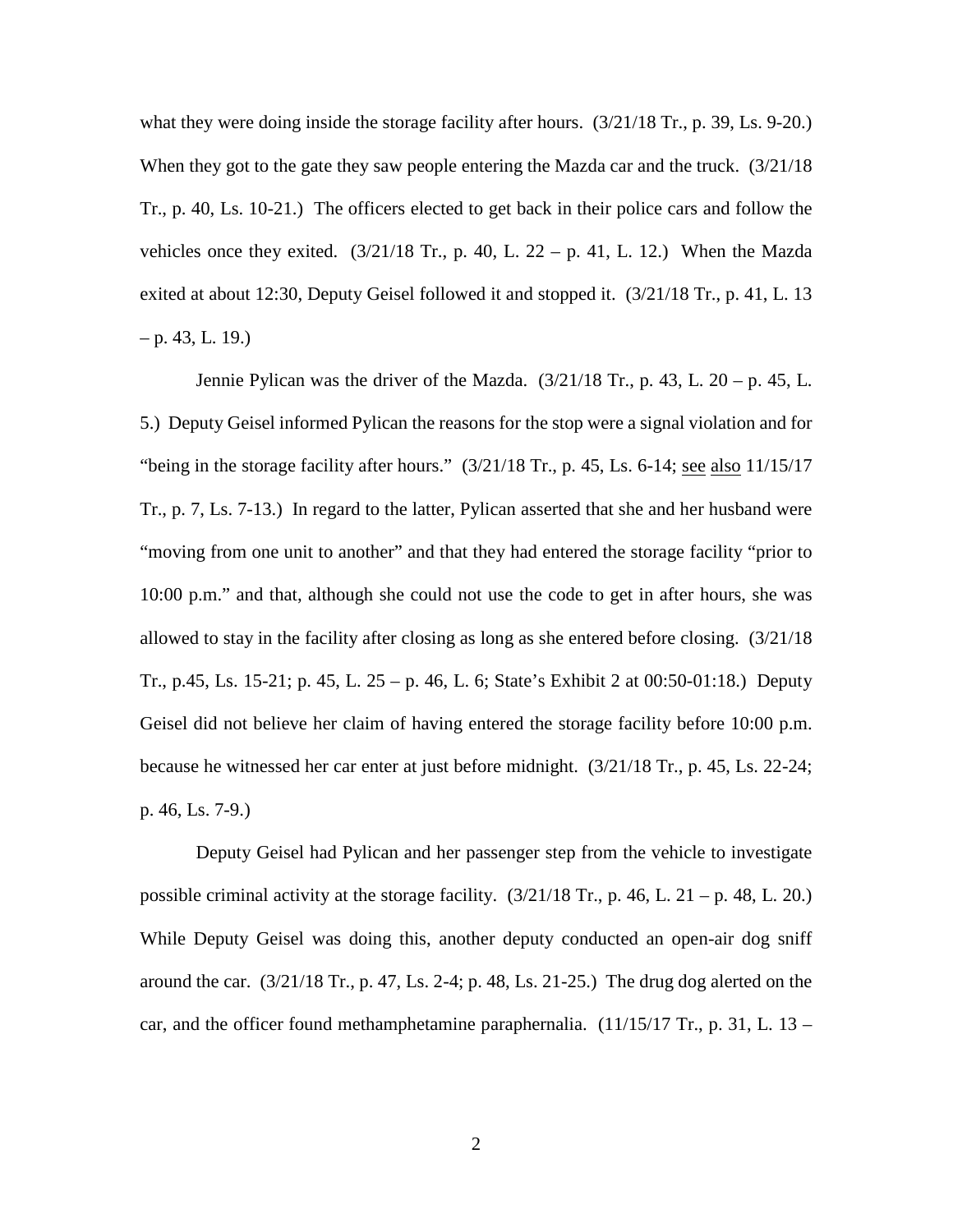what they were doing inside the storage facility after hours.  $(3/21/18 \text{ Tr}$ , p. 39, Ls. 9-20.) When they got to the gate they saw people entering the Mazda car and the truck. (3/21/18 Tr., p. 40, Ls. 10-21.) The officers elected to get back in their police cars and follow the vehicles once they exited.  $(3/21/18 \text{ Tr}$ , p. 40, L. 22 – p. 41, L. 12.) When the Mazda exited at about 12:30, Deputy Geisel followed it and stopped it. (3/21/18 Tr., p. 41, L. 13  $-$  p. 43, L. 19.)

Jennie Pylican was the driver of the Mazda.  $(3/21/18 \text{ Tr}., p. 43, L. 20 - p. 45, L.$ 5.) Deputy Geisel informed Pylican the reasons for the stop were a signal violation and for "being in the storage facility after hours."  $(3/21/18 \text{ Tr.}, p. 45, Ls. 6-14; \underline{\text{see also}} 11/15/17)$ Tr., p. 7, Ls. 7-13.) In regard to the latter, Pylican asserted that she and her husband were "moving from one unit to another" and that they had entered the storage facility "prior to 10:00 p.m." and that, although she could not use the code to get in after hours, she was allowed to stay in the facility after closing as long as she entered before closing. (3/21/18 Tr., p.45, Ls. 15-21; p. 45, L. 25 – p. 46, L. 6; State's Exhibit 2 at 00:50-01:18.) Deputy Geisel did not believe her claim of having entered the storage facility before 10:00 p.m. because he witnessed her car enter at just before midnight. (3/21/18 Tr., p. 45, Ls. 22-24; p. 46, Ls. 7-9.)

Deputy Geisel had Pylican and her passenger step from the vehicle to investigate possible criminal activity at the storage facility.  $(3/21/18 \text{ Tr}$ , p. 46, L. 21 – p. 48, L. 20.) While Deputy Geisel was doing this, another deputy conducted an open-air dog sniff around the car.  $(3/21/18 \text{ Tr}$ , p. 47, Ls. 2-4; p. 48, Ls. 21-25.) The drug dog alerted on the car, and the officer found methamphetamine paraphernalia.  $(11/15/17 \text{ Tr}$ , p. 31, L. 13 –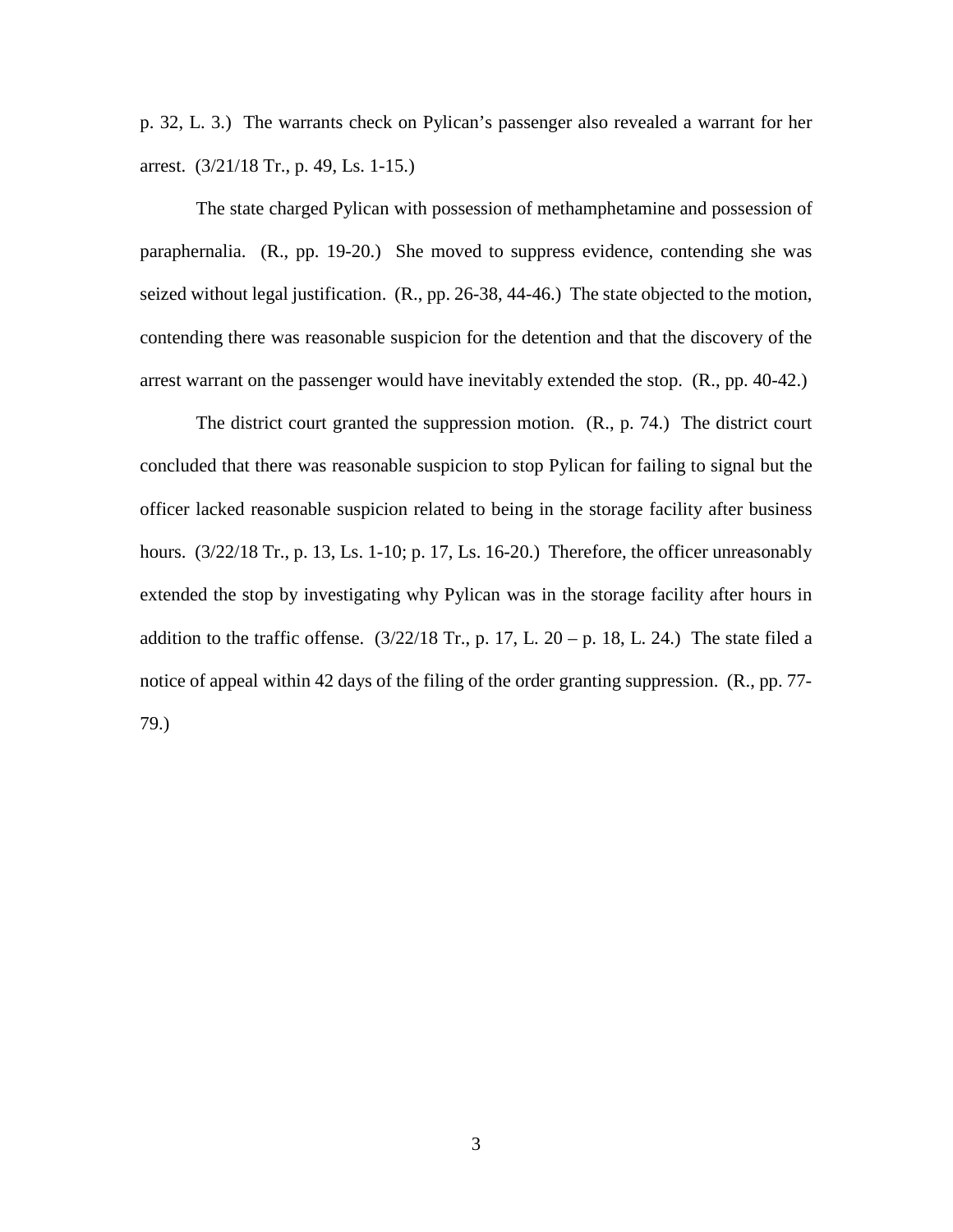p. 32, L. 3.) The warrants check on Pylican's passenger also revealed a warrant for her arrest. (3/21/18 Tr., p. 49, Ls. 1-15.)

The state charged Pylican with possession of methamphetamine and possession of paraphernalia. (R., pp. 19-20.) She moved to suppress evidence, contending she was seized without legal justification. (R., pp. 26-38, 44-46.) The state objected to the motion, contending there was reasonable suspicion for the detention and that the discovery of the arrest warrant on the passenger would have inevitably extended the stop. (R., pp. 40-42.)

The district court granted the suppression motion. (R., p. 74.) The district court concluded that there was reasonable suspicion to stop Pylican for failing to signal but the officer lacked reasonable suspicion related to being in the storage facility after business hours.  $\left(\frac{3}{22}\right)$  Tr., p. 13, Ls. 1-10; p. 17, Ls. 16-20.) Therefore, the officer unreasonably extended the stop by investigating why Pylican was in the storage facility after hours in addition to the traffic offense.  $(3/22/18 \text{ Tr.}, p. 17, L. 20 - p. 18, L. 24.)$  The state filed a notice of appeal within 42 days of the filing of the order granting suppression. (R., pp. 77- 79.)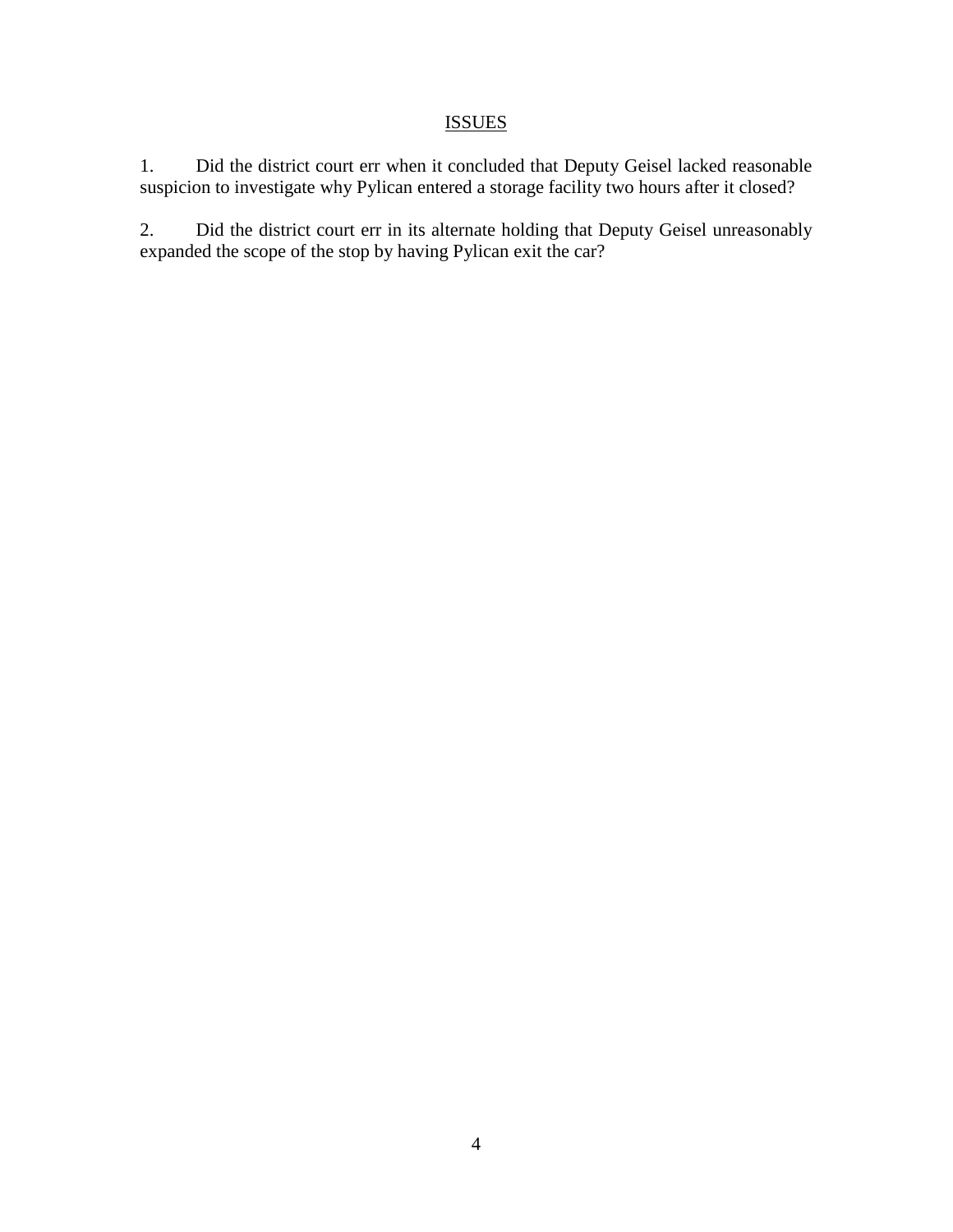# **ISSUES**

1. Did the district court err when it concluded that Deputy Geisel lacked reasonable suspicion to investigate why Pylican entered a storage facility two hours after it closed?

2. Did the district court err in its alternate holding that Deputy Geisel unreasonably expanded the scope of the stop by having Pylican exit the car?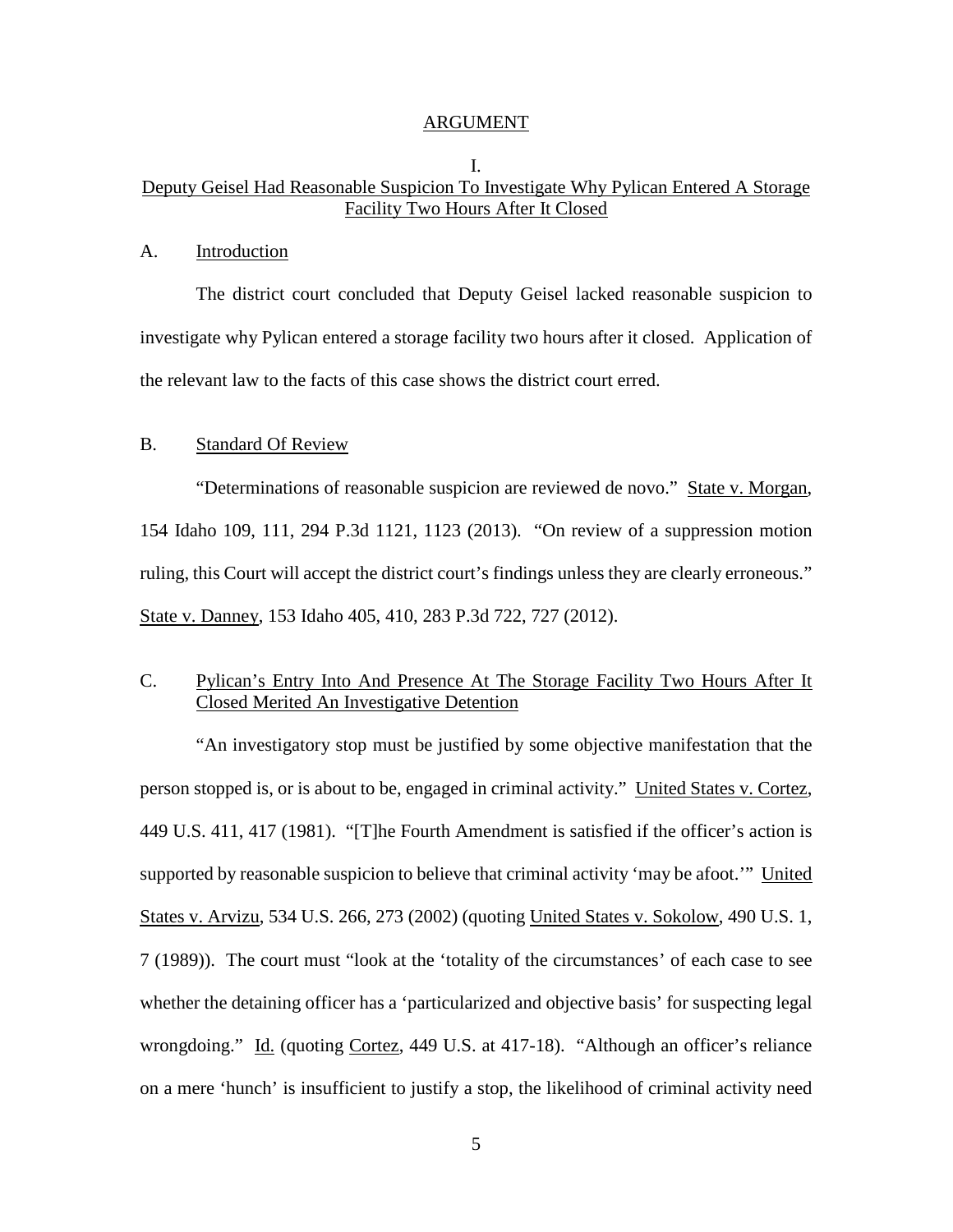#### ARGUMENT

## I. Deputy Geisel Had Reasonable Suspicion To Investigate Why Pylican Entered A Storage Facility Two Hours After It Closed

#### A. Introduction

The district court concluded that Deputy Geisel lacked reasonable suspicion to investigate why Pylican entered a storage facility two hours after it closed. Application of the relevant law to the facts of this case shows the district court erred.

### B. Standard Of Review

 "Determinations of reasonable suspicion are reviewed de novo." State v. Morgan, 154 Idaho 109, 111, 294 P.3d 1121, 1123 (2013). "On review of a suppression motion ruling, this Court will accept the district court's findings unless they are clearly erroneous." State v. Danney, 153 Idaho 405, 410, 283 P.3d 722, 727 (2012).

# C. Pylican's Entry Into And Presence At The Storage Facility Two Hours After It Closed Merited An Investigative Detention

"An investigatory stop must be justified by some objective manifestation that the person stopped is, or is about to be, engaged in criminal activity." United States v. Cortez, 449 U.S. 411, 417 (1981). "[T]he Fourth Amendment is satisfied if the officer's action is supported by reasonable suspicion to believe that criminal activity 'may be afoot.'" United States v. Arvizu, 534 U.S. 266, 273 (2002) (quoting United States v. Sokolow, 490 U.S. 1, 7 (1989)). The court must "look at the 'totality of the circumstances' of each case to see whether the detaining officer has a 'particularized and objective basis' for suspecting legal wrongdoing." Id. (quoting Cortez, 449 U.S. at 417-18). "Although an officer's reliance on a mere 'hunch' is insufficient to justify a stop, the likelihood of criminal activity need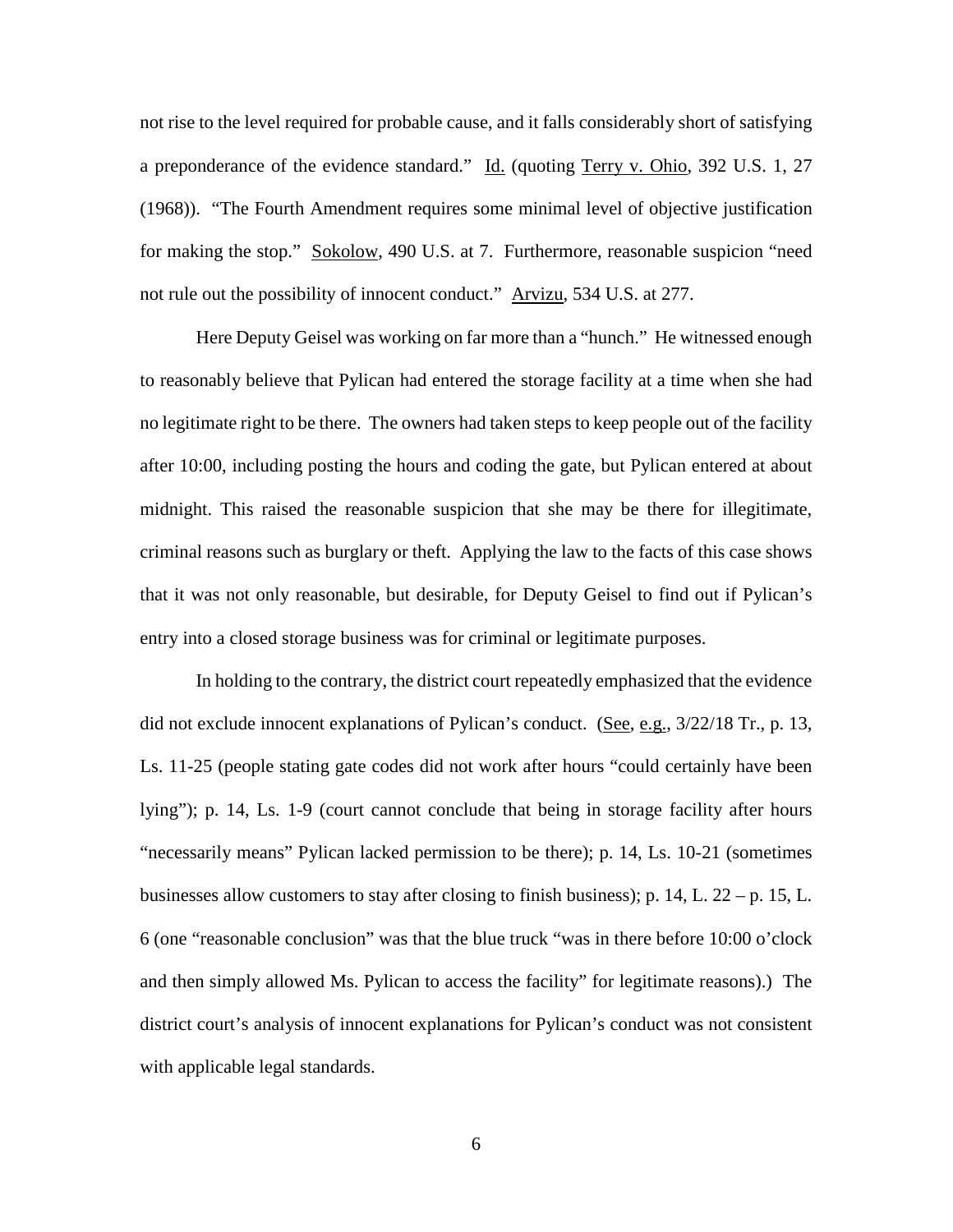not rise to the level required for probable cause, and it falls considerably short of satisfying a preponderance of the evidence standard." Id. (quoting Terry v. Ohio, 392 U.S. 1, 27 (1968)). "The Fourth Amendment requires some minimal level of objective justification for making the stop." Sokolow, 490 U.S. at 7. Furthermore, reasonable suspicion "need not rule out the possibility of innocent conduct." Arvizu, 534 U.S. at 277.

Here Deputy Geisel was working on far more than a "hunch." He witnessed enough to reasonably believe that Pylican had entered the storage facility at a time when she had no legitimate right to be there. The owners had taken steps to keep people out of the facility after 10:00, including posting the hours and coding the gate, but Pylican entered at about midnight. This raised the reasonable suspicion that she may be there for illegitimate, criminal reasons such as burglary or theft. Applying the law to the facts of this case shows that it was not only reasonable, but desirable, for Deputy Geisel to find out if Pylican's entry into a closed storage business was for criminal or legitimate purposes.

In holding to the contrary, the district court repeatedly emphasized that the evidence did not exclude innocent explanations of Pylican's conduct. (See, e.g., 3/22/18 Tr., p. 13, Ls. 11-25 (people stating gate codes did not work after hours "could certainly have been lying"); p. 14, Ls. 1-9 (court cannot conclude that being in storage facility after hours "necessarily means" Pylican lacked permission to be there); p. 14, Ls. 10-21 (sometimes businesses allow customers to stay after closing to finish business); p. 14, L. 22 – p. 15, L. 6 (one "reasonable conclusion" was that the blue truck "was in there before 10:00 o'clock and then simply allowed Ms. Pylican to access the facility" for legitimate reasons).) The district court's analysis of innocent explanations for Pylican's conduct was not consistent with applicable legal standards.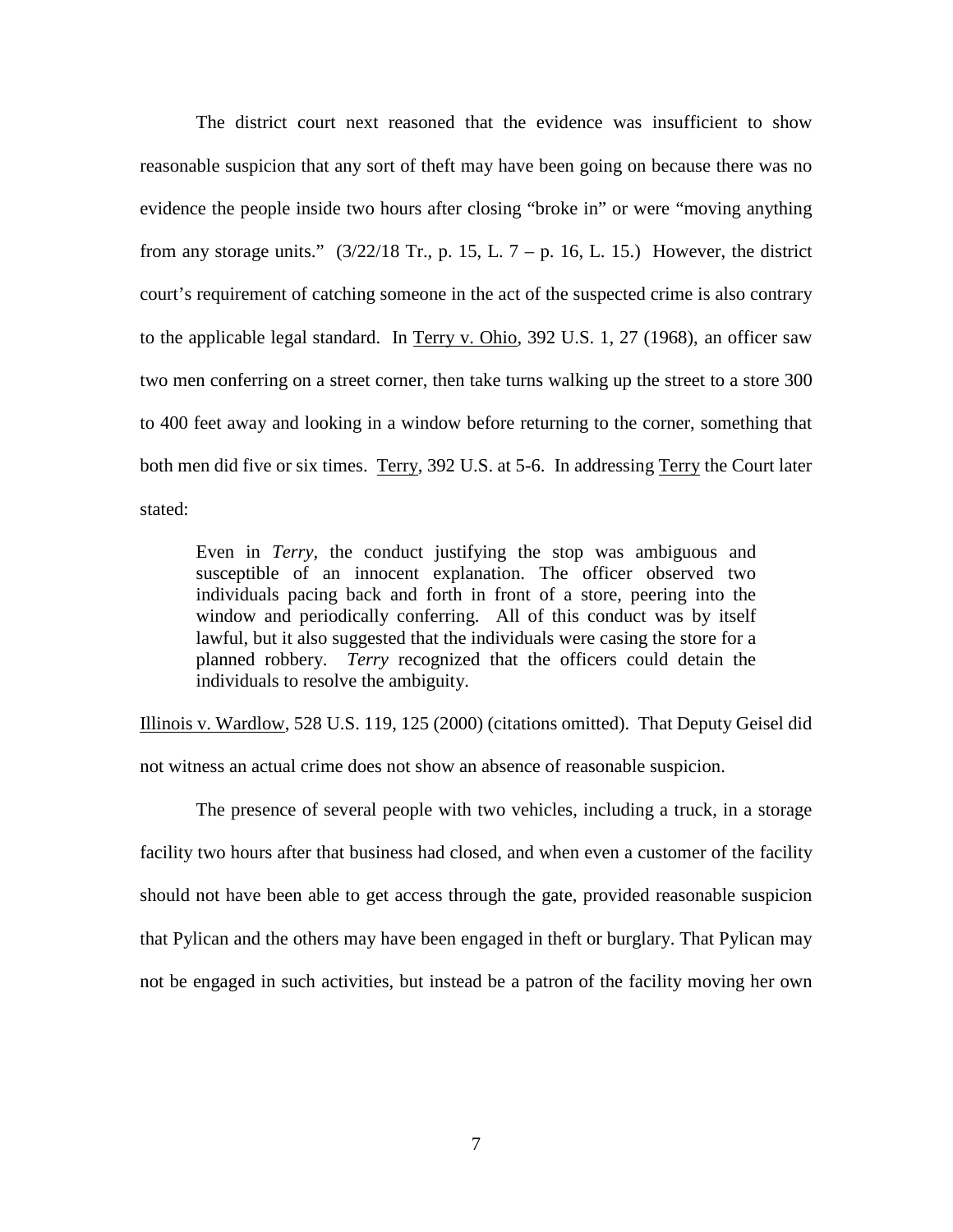The district court next reasoned that the evidence was insufficient to show reasonable suspicion that any sort of theft may have been going on because there was no evidence the people inside two hours after closing "broke in" or were "moving anything from any storage units."  $(3/22/18$  Tr., p. 15, L. 7 – p. 16, L. 15.) However, the district court's requirement of catching someone in the act of the suspected crime is also contrary to the applicable legal standard. In Terry v. Ohio, 392 U.S. 1, 27 (1968), an officer saw two men conferring on a street corner, then take turns walking up the street to a store 300 to 400 feet away and looking in a window before returning to the corner, something that both men did five or six times. Terry, 392 U.S. at 5-6. In addressing Terry the Court later stated:

Even in *Terry,* the conduct justifying the stop was ambiguous and susceptible of an innocent explanation. The officer observed two individuals pacing back and forth in front of a store, peering into the window and periodically conferring. All of this conduct was by itself lawful, but it also suggested that the individuals were casing the store for a planned robbery. *Terry* recognized that the officers could detain the individuals to resolve the ambiguity.

Illinois v. Wardlow, 528 U.S. 119, 125 (2000) (citations omitted). That Deputy Geisel did not witness an actual crime does not show an absence of reasonable suspicion.

The presence of several people with two vehicles, including a truck, in a storage facility two hours after that business had closed, and when even a customer of the facility should not have been able to get access through the gate, provided reasonable suspicion that Pylican and the others may have been engaged in theft or burglary. That Pylican may not be engaged in such activities, but instead be a patron of the facility moving her own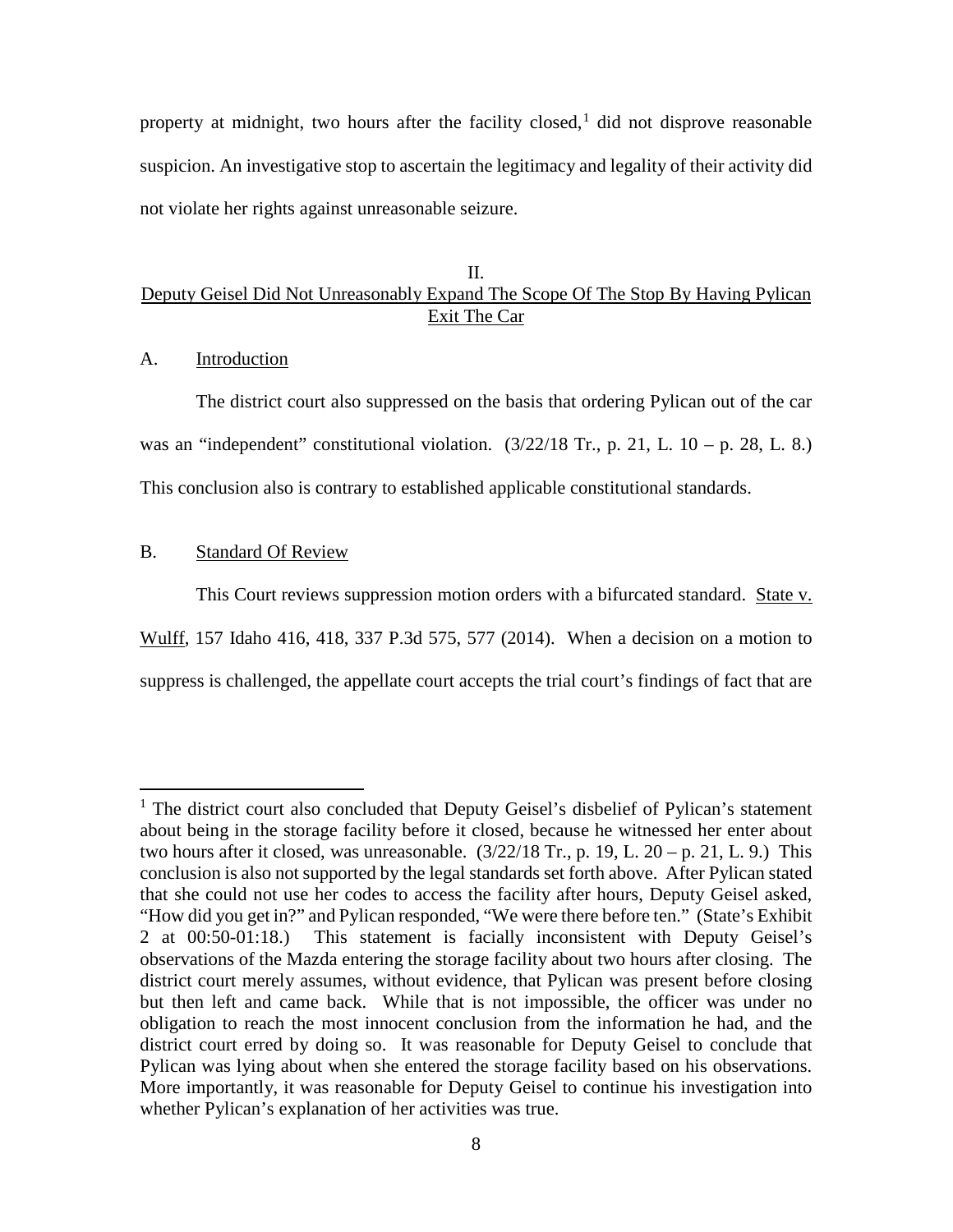property at midnight, two hours after the facility closed,  $\frac{1}{1}$  $\frac{1}{1}$  $\frac{1}{1}$  did not disprove reasonable suspicion. An investigative stop to ascertain the legitimacy and legality of their activity did not violate her rights against unreasonable seizure.

## II. Deputy Geisel Did Not Unreasonably Expand The Scope Of The Stop By Having Pylican Exit The Car

A. Introduction

The district court also suppressed on the basis that ordering Pylican out of the car was an "independent" constitutional violation.  $(3/22/18$  Tr., p. 21, L. 10 – p. 28, L. 8.) This conclusion also is contrary to established applicable constitutional standards.

## B. Standard Of Review

 $\overline{a}$ 

This Court reviews suppression motion orders with a bifurcated standard. State v. Wulff, 157 Idaho 416, 418, 337 P.3d 575, 577 (2014). When a decision on a motion to suppress is challenged, the appellate court accepts the trial court's findings of fact that are

<sup>&</sup>lt;sup>1</sup> The district court also concluded that Deputy Geisel's disbelief of Pylican's statement about being in the storage facility before it closed, because he witnessed her enter about two hours after it closed, was unreasonable.  $(3/22/18 \text{ Tr}$ , p. 19, L.  $20 - p$ . 21, L. 9.) This conclusion is also not supported by the legal standards set forth above. After Pylican stated that she could not use her codes to access the facility after hours, Deputy Geisel asked, "How did you get in?" and Pylican responded, "We were there before ten." (State's Exhibit 2 at 00:50-01:18.) This statement is facially inconsistent with Deputy Geisel's observations of the Mazda entering the storage facility about two hours after closing. The district court merely assumes, without evidence, that Pylican was present before closing but then left and came back. While that is not impossible, the officer was under no obligation to reach the most innocent conclusion from the information he had, and the district court erred by doing so. It was reasonable for Deputy Geisel to conclude that Pylican was lying about when she entered the storage facility based on his observations. More importantly, it was reasonable for Deputy Geisel to continue his investigation into whether Pylican's explanation of her activities was true.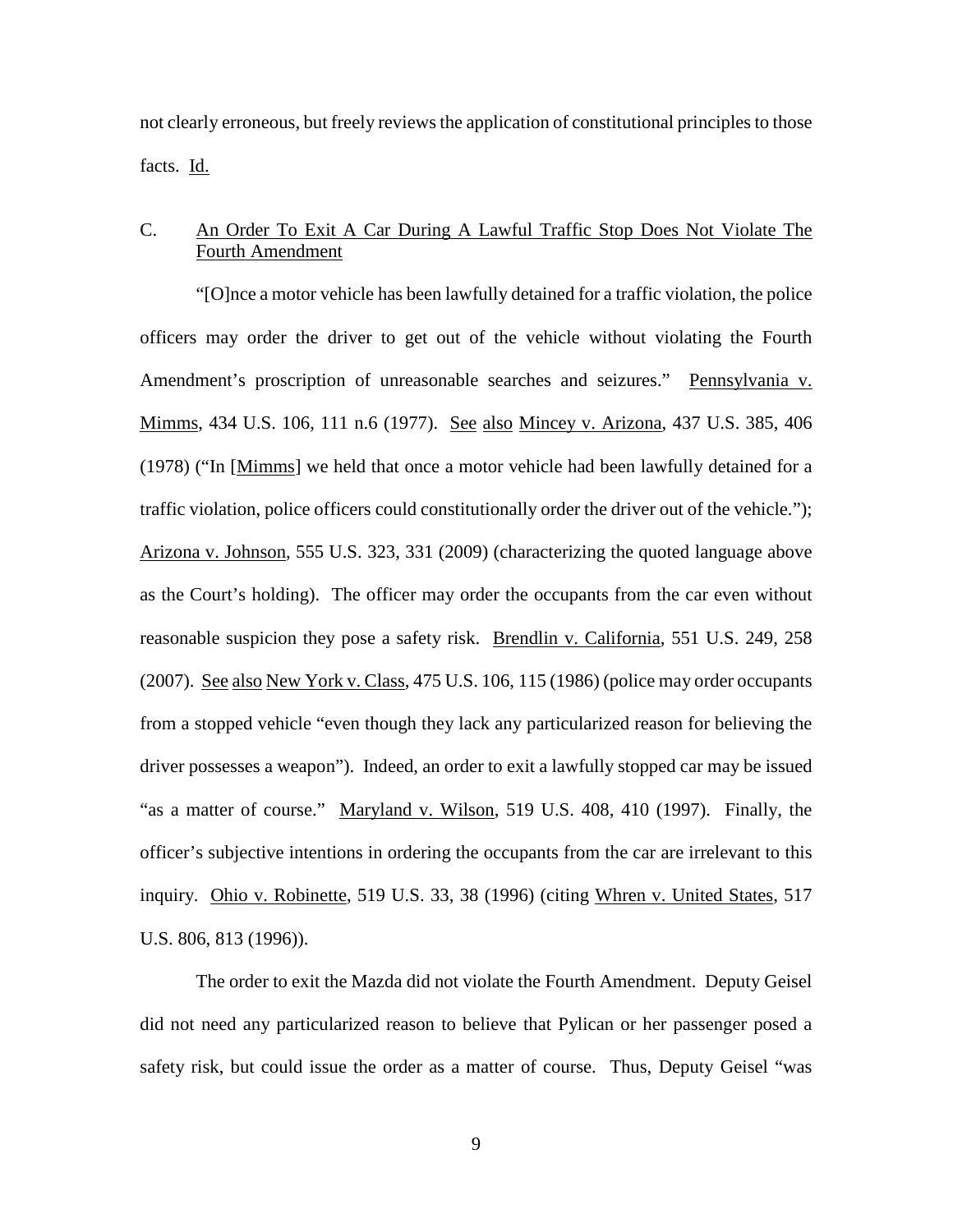not clearly erroneous, but freely reviews the application of constitutional principles to those facts. Id.

# C. An Order To Exit A Car During A Lawful Traffic Stop Does Not Violate The Fourth Amendment

 "[O]nce a motor vehicle has been lawfully detained for a traffic violation, the police officers may order the driver to get out of the vehicle without violating the Fourth Amendment's proscription of unreasonable searches and seizures." Pennsylvania v. Mimms, 434 U.S. 106, 111 n.6 (1977). See also Mincey v. Arizona, 437 U.S. 385, 406 (1978) ("In [Mimms] we held that once a motor vehicle had been lawfully detained for a traffic violation, police officers could constitutionally order the driver out of the vehicle."); Arizona v. Johnson, 555 U.S. 323, 331 (2009) (characterizing the quoted language above as the Court's holding). The officer may order the occupants from the car even without reasonable suspicion they pose a safety risk. Brendlin v. California, 551 U.S. 249, 258 (2007). See also New York v. Class, 475 U.S. 106, 115 (1986) (police may order occupants from a stopped vehicle "even though they lack any particularized reason for believing the driver possesses a weapon"). Indeed, an order to exit a lawfully stopped car may be issued "as a matter of course." Maryland v. Wilson, 519 U.S. 408, 410 (1997). Finally, the officer's subjective intentions in ordering the occupants from the car are irrelevant to this inquiry. Ohio v. Robinette, 519 U.S. 33, 38 (1996) (citing Whren v. United States, 517 U.S. 806, 813 (1996)).

The order to exit the Mazda did not violate the Fourth Amendment. Deputy Geisel did not need any particularized reason to believe that Pylican or her passenger posed a safety risk, but could issue the order as a matter of course. Thus, Deputy Geisel "was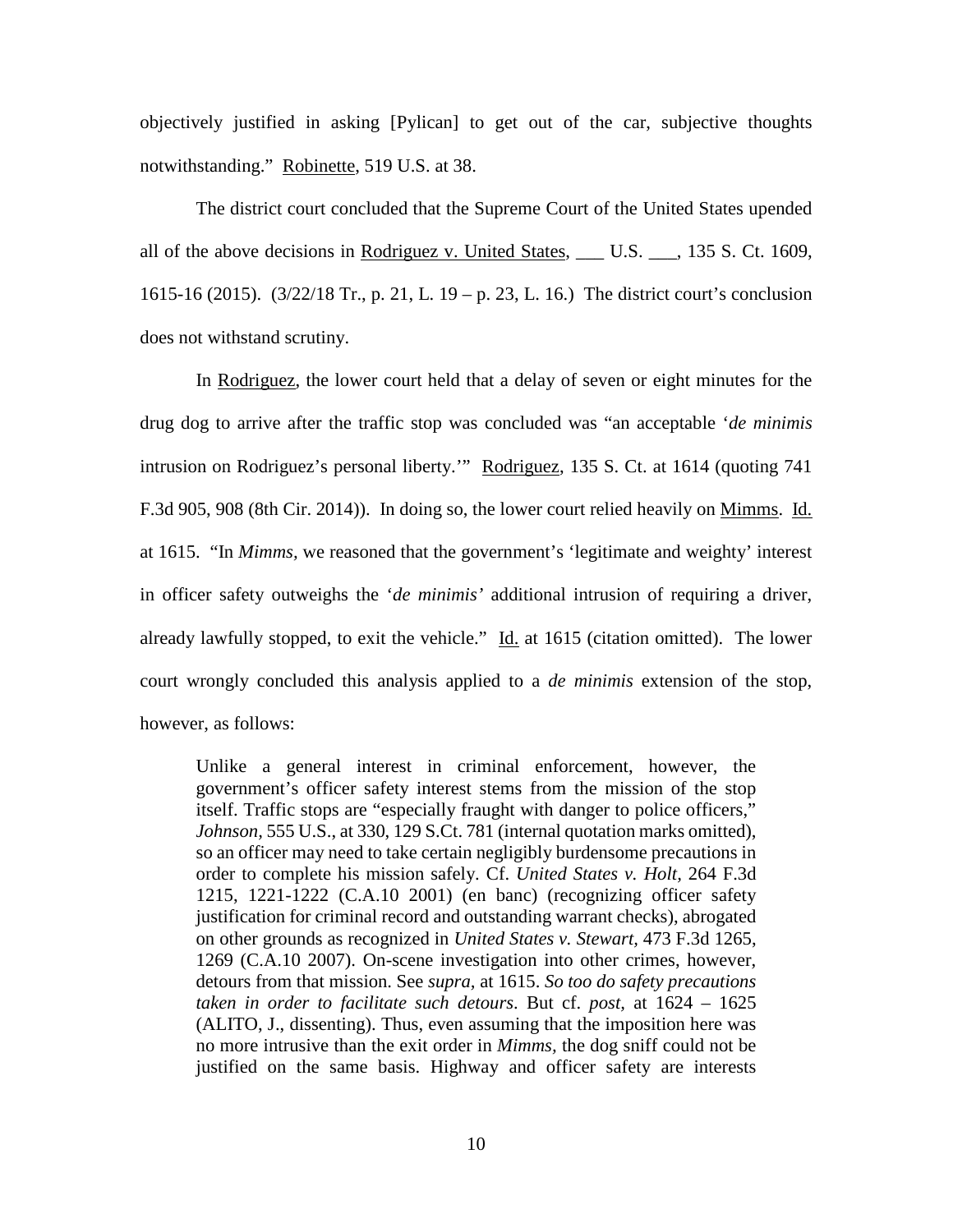objectively justified in asking [Pylican] to get out of the car, subjective thoughts notwithstanding." Robinette, 519 U.S. at 38.

The district court concluded that the Supreme Court of the United States upended all of the above decisions in Rodriguez v. United States, \_\_\_ U.S. \_\_\_, 135 S. Ct. 1609, 1615-16 (2015). (3/22/18 Tr., p. 21, L. 19 – p. 23, L. 16.) The district court's conclusion does not withstand scrutiny.

In Rodriguez, the lower court held that a delay of seven or eight minutes for the drug dog to arrive after the traffic stop was concluded was "an acceptable '*de minimis* intrusion on Rodriguez's personal liberty." Rodriguez, 135 S. Ct. at 1614 (quoting 741) F.3d 905, 908 (8th Cir. 2014)). In doing so, the lower court relied heavily on Mimms. Id. at 1615. "In *Mimms,* we reasoned that the government's 'legitimate and weighty' interest in officer safety outweighs the '*de minimis'* additional intrusion of requiring a driver, already lawfully stopped, to exit the vehicle." Id. at 1615 (citation omitted). The lower court wrongly concluded this analysis applied to a *de minimis* extension of the stop, however, as follows:

Unlike a general interest in criminal enforcement, however, the government's officer safety interest stems from the mission of the stop itself. Traffic stops are "especially fraught with danger to police officers," *Johnson,* 555 U.S., at 330, 129 S.Ct. 781 (internal quotation marks omitted), so an officer may need to take certain negligibly burdensome precautions in order to complete his mission safely. Cf. *United States v. Holt,* 264 F.3d 1215, 1221-1222 (C.A.10 2001) (en banc) (recognizing officer safety justification for criminal record and outstanding warrant checks), abrogated on other grounds as recognized in *United States v. Stewart,* 473 F.3d 1265, 1269 (C.A.10 2007). On-scene investigation into other crimes, however, detours from that mission. See *supra,* at 1615. *So too do safety precautions taken in order to facilitate such detours*. But cf. *post,* at 1624 – 1625 (ALITO, J., dissenting). Thus, even assuming that the imposition here was no more intrusive than the exit order in *Mimms,* the dog sniff could not be justified on the same basis. Highway and officer safety are interests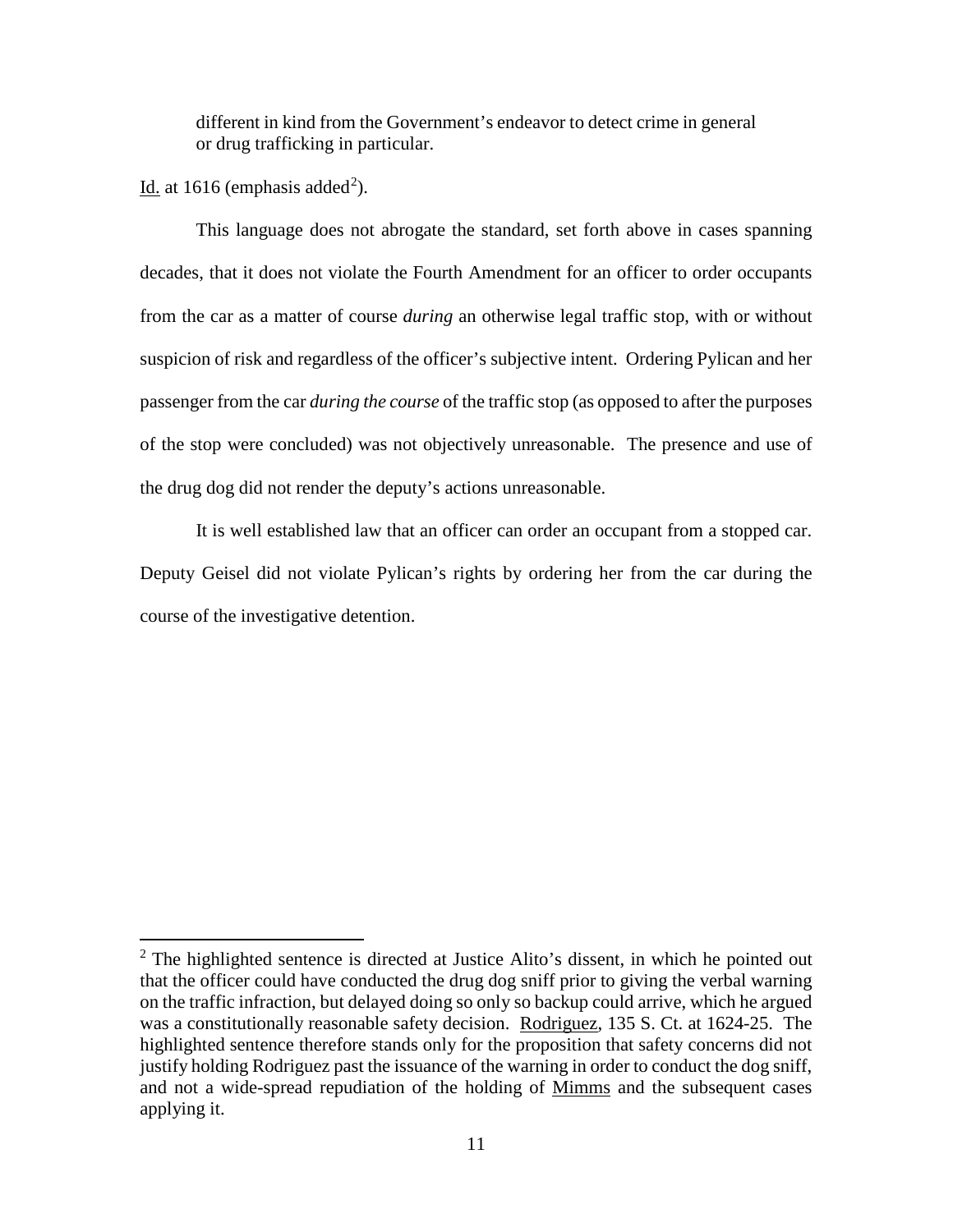different in kind from the Government's endeavor to detect crime in general or drug trafficking in particular.

Id. at 1616 (emphasis added<sup>[2](#page--1-1)</sup>).

 $\overline{a}$ 

This language does not abrogate the standard, set forth above in cases spanning decades, that it does not violate the Fourth Amendment for an officer to order occupants from the car as a matter of course *during* an otherwise legal traffic stop, with or without suspicion of risk and regardless of the officer's subjective intent. Ordering Pylican and her passenger from the car *during the course* of the traffic stop (as opposed to after the purposes of the stop were concluded) was not objectively unreasonable. The presence and use of the drug dog did not render the deputy's actions unreasonable.

It is well established law that an officer can order an occupant from a stopped car. Deputy Geisel did not violate Pylican's rights by ordering her from the car during the course of the investigative detention.

 $2$  The highlighted sentence is directed at Justice Alito's dissent, in which he pointed out that the officer could have conducted the drug dog sniff prior to giving the verbal warning on the traffic infraction, but delayed doing so only so backup could arrive, which he argued was a constitutionally reasonable safety decision. Rodriguez, 135 S. Ct. at 1624-25. The highlighted sentence therefore stands only for the proposition that safety concerns did not justify holding Rodriguez past the issuance of the warning in order to conduct the dog sniff, and not a wide-spread repudiation of the holding of Mimms and the subsequent cases applying it.